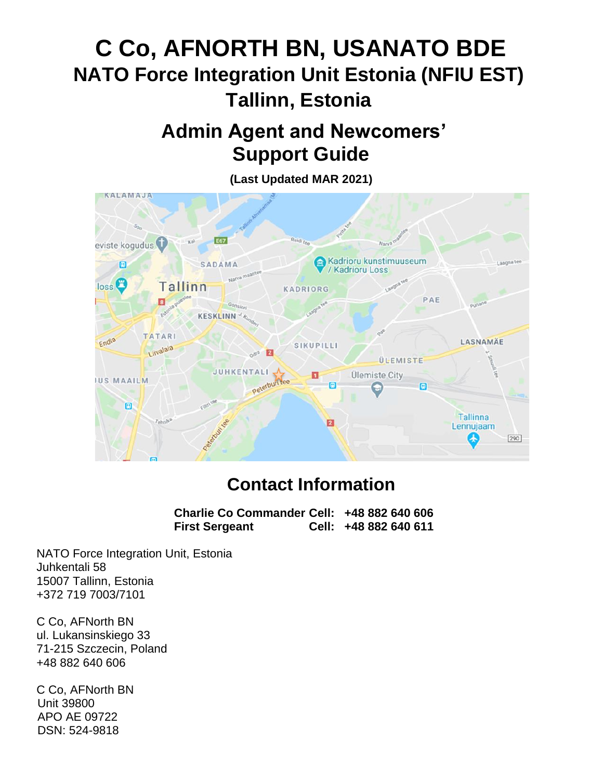# **C Co, AFNORTH BN, USANATO BDE NATO Force Integration Unit Estonia (NFIU EST) Tallinn, Estonia**

## **Admin Agent and Newcomers' Support Guide**

**(Last Updated MAR 2021) KALAMAJA** E67 eviste kogudus **Kadrioru kunstimuuseum** 面  $\Box$ SADAMA / Kadrioru Loss  $44.0$  $loss$ <sup> $\bullet$ </sup> Tallinn **KADRIORG** PAE  $\overline{\mathbf{a}}$ **KESKLINN TATARI** Endla LASNAMÄE SIKUPILLI Livalala E  $\sim 10^{12}$ **ÜLEMISTE JUHKENTALI** 鼊 Ülemiste City **JUS MAAILM** Peterbur 圓  $\Box$ Tallinna  $\overline{2}$ Lennujaam ₳ 290

## **Contact Information**

**Charlie Co Commander Cell: +48 882 640 606 First Sergeant Cell: +48 882 640 611**

NATO Force Integration Unit, Estonia Juhkentali 58 15007 Tallinn, Estonia +372 719 7003/7101

C Co, AFNorth BN ul. Lukansinskiego 33 71-215 Szczecin, Poland +48 882 640 606

C Co, AFNorth BN Unit 39800 APO AE 09722 DSN: 524-9818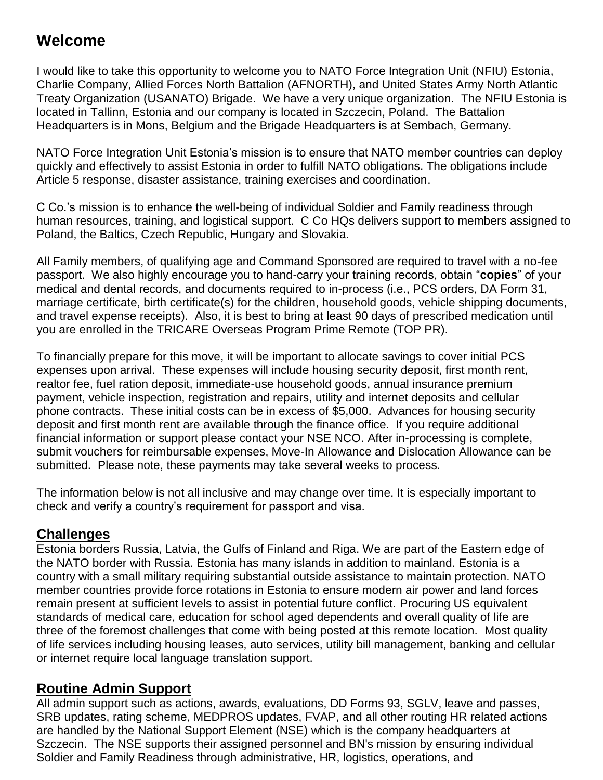## **Welcome**

I would like to take this opportunity to welcome you to NATO Force Integration Unit (NFIU) Estonia, Charlie Company, Allied Forces North Battalion (AFNORTH), and United States Army North Atlantic Treaty Organization (USANATO) Brigade. We have a very unique organization. The NFIU Estonia is located in Tallinn, Estonia and our company is located in Szczecin, Poland. The Battalion Headquarters is in Mons, Belgium and the Brigade Headquarters is at Sembach, Germany.

NATO Force Integration Unit Estonia's mission is to ensure that NATO member countries can deploy quickly and effectively to assist Estonia in order to fulfill NATO obligations. The obligations include Article 5 response, disaster assistance, training exercises and coordination.

C Co.'s mission is to enhance the well-being of individual Soldier and Family readiness through human resources, training, and logistical support. C Co HQs delivers support to members assigned to Poland, the Baltics, Czech Republic, Hungary and Slovakia.

All Family members, of qualifying age and Command Sponsored are required to travel with a no-fee passport. We also highly encourage you to hand-carry your training records, obtain "**copies**" of your medical and dental records, and documents required to in-process (i.e., PCS orders, DA Form 31, marriage certificate, birth certificate(s) for the children, household goods, vehicle shipping documents, and travel expense receipts). Also, it is best to bring at least 90 days of prescribed medication until you are enrolled in the TRICARE Overseas Program Prime Remote (TOP PR).

To financially prepare for this move, it will be important to allocate savings to cover initial PCS expenses upon arrival. These expenses will include housing security deposit, first month rent, realtor fee, fuel ration deposit, immediate-use household goods, annual insurance premium payment, vehicle inspection, registration and repairs, utility and internet deposits and cellular phone contracts. These initial costs can be in excess of \$5,000. Advances for housing security deposit and first month rent are available through the finance office. If you require additional financial information or support please contact your NSE NCO. After in-processing is complete, submit vouchers for reimbursable expenses, Move-In Allowance and Dislocation Allowance can be submitted. Please note, these payments may take several weeks to process.

The information below is not all inclusive and may change over time. It is especially important to check and verify a country's requirement for passport and visa.

## **Challenges**

Estonia borders Russia, Latvia, the Gulfs of Finland and Riga. We are part of the Eastern edge of the NATO border with Russia. Estonia has many islands in addition to mainland. Estonia is a country with a small military requiring substantial outside assistance to maintain protection. NATO member countries provide force rotations in Estonia to ensure modern air power and land forces remain present at sufficient levels to assist in potential future conflict. Procuring US equivalent standards of medical care, education for school aged dependents and overall quality of life are three of the foremost challenges that come with being posted at this remote location. Most quality of life services including housing leases, auto services, utility bill management, banking and cellular or internet require local language translation support.

## **Routine Admin Support**

All admin support such as actions, awards, evaluations, DD Forms 93, SGLV, leave and passes, SRB updates, rating scheme, MEDPROS updates, FVAP, and all other routing HR related actions are handled by the National Support Element (NSE) which is the company headquarters at Szczecin. The NSE supports their assigned personnel and BN's mission by ensuring individual Soldier and Family Readiness through administrative, HR, logistics, operations, and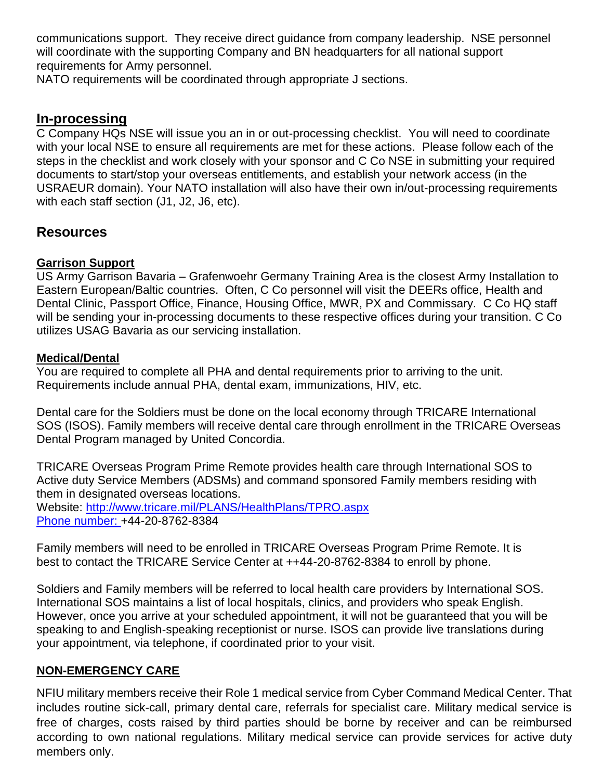communications support. They receive direct guidance from company leadership. NSE personnel will coordinate with the supporting Company and BN headquarters for all national support requirements for Army personnel.

NATO requirements will be coordinated through appropriate J sections.

#### **In-processing**

C Company HQs NSE will issue you an in or out-processing checklist. You will need to coordinate with your local NSE to ensure all requirements are met for these actions. Please follow each of the steps in the checklist and work closely with your sponsor and C Co NSE in submitting your required documents to start/stop your overseas entitlements, and establish your network access (in the USRAEUR domain). Your NATO installation will also have their own in/out-processing requirements with each staff section (J1, J2, J6, etc).

#### **Resources**

#### **Garrison Support**

US Army Garrison Bavaria – Grafenwoehr Germany Training Area is the closest Army Installation to Eastern European/Baltic countries. Often, C Co personnel will visit the DEERs office, Health and Dental Clinic, Passport Office, Finance, Housing Office, MWR, PX and Commissary. C Co HQ staff will be sending your in-processing documents to these respective offices during your transition. C Co utilizes USAG Bavaria as our servicing installation.

#### **Medical/Dental**

You are required to complete all PHA and dental requirements prior to arriving to the unit. Requirements include annual PHA, dental exam, immunizations, HIV, etc.

Dental care for the Soldiers must be done on the local economy through TRICARE International SOS (ISOS). Family members will receive dental care through enrollment in the TRICARE Overseas Dental Program managed by United Concordia.

TRICARE Overseas Program Prime Remote provides health care through International SOS to Active duty Service Members (ADSMs) and command sponsored Family members residing with them in designated overseas locations. Website:<http://www.tricare.mil/PLANS/HealthPlans/TPRO.aspx> Phone number: +44-20-8762-8384

Family members will need to be enrolled in TRICARE Overseas Program Prime Remote. It is best to contact the TRICARE Service Center at ++44-20-8762-8384 to enroll by phone.

Soldiers and Family members will be referred to local health care providers by International SOS. International SOS maintains a list of local hospitals, clinics, and providers who speak English. However, once you arrive at your scheduled appointment, it will not be guaranteed that you will be speaking to and English-speaking receptionist or nurse. ISOS can provide live translations during your appointment, via telephone, if coordinated prior to your visit.

#### **NON-EMERGENCY CARE**

NFIU military members receive their Role 1 medical service from Cyber Command Medical Center. That includes routine sick-call, primary dental care, referrals for specialist care. Military medical service is free of charges, costs raised by third parties should be borne by receiver and can be reimbursed according to own national regulations. Military medical service can provide services for active duty members only.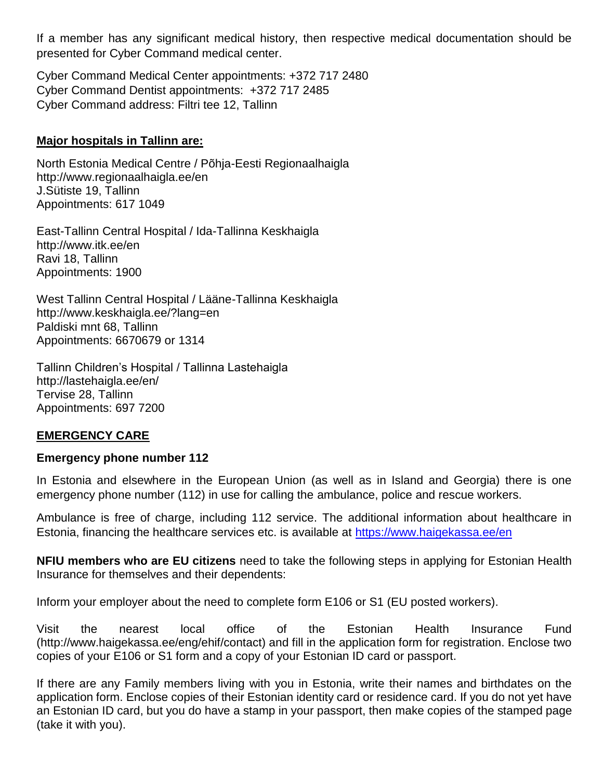If a member has any significant medical history, then respective medical documentation should be presented for Cyber Command medical center.

Cyber Command Medical Center appointments: +372 717 2480 Cyber Command Dentist appointments: +372 717 2485 Cyber Command address: Filtri tee 12, Tallinn

#### **Major hospitals in Tallinn are:**

North Estonia Medical Centre / Põhja-Eesti Regionaalhaigla <http://www.regionaalhaigla.ee/en> J.Sütiste 19, Tallinn Appointments: 617 1049

East-Tallinn Central Hospital / Ida-Tallinna Keskhaigla <http://www.itk.ee/en> Ravi 18, Tallinn Appointments: 1900

West Tallinn Central Hospital / Lääne-Tallinna Keskhaigla <http://www.keskhaigla.ee/?lang=en> Paldiski mnt 68, Tallinn Appointments: 6670679 or 1314

Tallinn Children's Hospital / Tallinna Lastehaigla <http://lastehaigla.ee/en/> Tervise 28, Tallinn Appointments: 697 7200

#### **EMERGENCY CARE**

#### **Emergency phone number 112**

In Estonia and elsewhere in the European Union (as well as in Island and Georgia) there is one emergency phone number (112) in use for calling the ambulance, police and rescue workers.

Ambulance is free of charge, including 112 service. The additional information about healthcare in Estonia, financing the healthcare services etc. is available at<https://www.haigekassa.ee/en>

**NFIU members who are EU citizens** need to take the following steps in applying for Estonian Health Insurance for themselves and their dependents:

Inform your employer about the need to complete form E106 or S1 (EU posted workers).

Visit the nearest local office of the Estonian Health Insurance Fund (http://www.haigekassa.ee/eng/ehif/contact) and fill in the application form for registration. Enclose two copies of your E106 or S1 form and a copy of your Estonian ID card or passport.

If there are any Family members living with you in Estonia, write their names and birthdates on the application form. Enclose copies of their Estonian identity card or residence card. If you do not yet have an Estonian ID card, but you do have a stamp in your passport, then make copies of the stamped page (take it with you).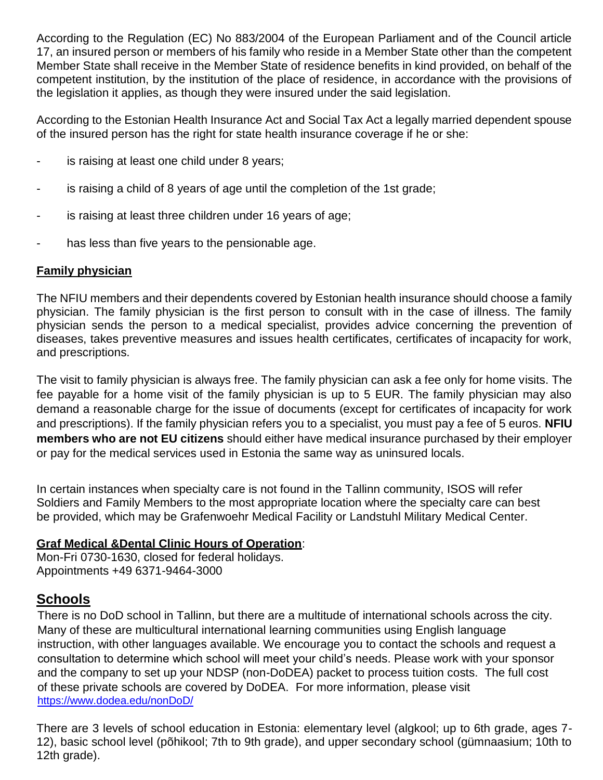According to the Regulation (EC) No 883/2004 of the European Parliament and of the Council article 17, an insured person or members of his family who reside in a Member State other than the competent Member State shall receive in the Member State of residence benefits in kind provided, on behalf of the competent institution, by the institution of the place of residence, in accordance with the provisions of the legislation it applies, as though they were insured under the said legislation.

According to the Estonian Health Insurance Act and Social Tax Act a legally married dependent spouse of the insured person has the right for state health insurance coverage if he or she:

- is raising at least one child under 8 years;
- is raising a child of 8 years of age until the completion of the 1st grade;
- is raising at least three children under 16 years of age;
- has less than five years to the pensionable age.

#### **Family physician**

The NFIU members and their dependents covered by Estonian health insurance should choose a family physician. The family physician is the first person to consult with in the case of illness. The family physician sends the person to a medical specialist, provides advice concerning the prevention of diseases, takes preventive measures and issues health certificates, certificates of incapacity for work, and prescriptions.

The visit to family physician is always free. The family physician can ask a fee only for home visits. The fee payable for a home visit of the family physician is up to 5 EUR. The family physician may also demand a reasonable charge for the issue of documents (except for certificates of incapacity for work and prescriptions). If the family physician refers you to a specialist, you must pay a fee of 5 euros. **NFIU members who are not EU citizens** should either have medical insurance purchased by their employer or pay for the medical services used in Estonia the same way as uninsured locals.

In certain instances when specialty care is not found in the Tallinn community, ISOS will refer Soldiers and Family Members to the most appropriate location where the specialty care can best be provided, which may be Grafenwoehr Medical Facility or Landstuhl Military Medical Center.

#### **Graf Medical &Dental Clinic Hours of Operation**:

Mon-Fri 0730-1630, closed for federal holidays. Appointments +49 6371-9464-3000

## **Schools**

There is no DoD school in Tallinn, but there are a multitude of international schools across the city. Many of these are multicultural international learning communities using English language instruction, with other languages available. We encourage you to contact the schools and request a consultation to determine which school will meet your child's needs. Please work with your sponsor and the company to set up your NDSP (non-DoDEA) packet to process tuition costs. The full cost of these private schools are covered by DoDEA. For more information, please visit <https://www.dodea.edu/nonDoD/>

There are 3 levels of school education in Estonia: elementary level (algkool; up to 6th grade, ages 7- 12), basic school level (põhikool; 7th to 9th grade), and upper secondary school (gümnaasium; 10th to 12th grade).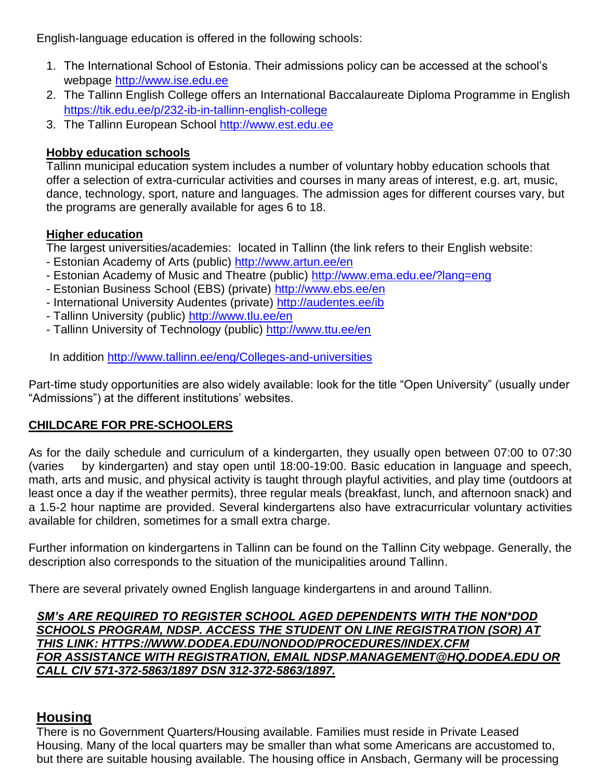English-language education is offered in the following schools:

- 1. The International School of Estonia. Their admissions policy can be accessed at the school's webpage [http://www.ise.edu.ee](http://www.ise.edu.ee/)
- 2. The Tallinn English College offers an International Baccalaureate Diploma Programme in English <https://tik.edu.ee/p/232-ib-in-tallinn-english-college>
- 3. The Tallinn European School [http://www.est.edu.ee](http://www.est.edu.ee/)

#### **Hobby education schools**

Tallinn municipal education system includes a number of voluntary hobby education schools that offer a selection of extra-curricular activities and courses in many areas of interest, e.g. art, music, dance, technology, sport, nature and languages. The admission ages for different courses vary, but the programs are generally available for ages 6 to 18.

#### **Higher education**

The largest universities/academies: located in Tallinn (the link refers to their English website:

- Estonian Academy of Arts (public) <http://www.artun.ee/en>
- Estonian Academy of Music and Theatre (public)<http://www.ema.edu.ee/?lang=eng>
- Estonian Business School (EBS) (private)<http://www.ebs.ee/en>
- International University Audentes (private)<http://audentes.ee/ib>
- Tallinn University (public)<http://www.tlu.ee/en>
- Tallinn University of Technology (public)<http://www.ttu.ee/en>

In addition<http://www.tallinn.ee/eng/Colleges-and-universities>

Part-time study opportunities are also widely available: look for the title "Open University" (usually under "Admissions") at the different institutions' websites.

#### **CHILDCARE FOR PRE-SCHOOLERS**

As for the daily schedule and curriculum of a kindergarten, they usually open between 07:00 to 07:30 (varies by kindergarten) and stay open until 18:00-19:00. Basic education in language and speech, math, arts and music, and physical activity is taught through playful activities, and play time (outdoors at least once a day if the weather permits), three regular meals (breakfast, lunch, and afternoon snack) and a 1.5-2 hour naptime are provided. Several kindergartens also have extracurricular voluntary activities available for children, sometimes for a small extra charge.

Further information on kindergartens in Tallinn can be found on the Tallinn City webpage. Generally, the description also corresponds to the situation of the municipalities around Tallinn.

There are several privately owned English language kindergartens in and around Tallinn.

*SM's ARE REQUIRED TO REGISTER SCHOOL AGED DEPENDENTS WITH THE NON\*DOD SCHOOLS PROGRAM, NDSP. ACCESS THE STUDENT ON LINE REGISTRATION (SOR) AT THIS LINK: HTTPS://WWW.DODEA.EDU/NONDOD/PROCEDURES/INDEX.CFM FOR ASSISTANCE WITH REGISTRATION, EMAIL NDSP.MANAGEMENT@HQ.DODEA.EDU OR CALL CIV 571-372-5863/1897 DSN 312-372-5863/1897.*

## **Housing**

There is no Government Quarters/Housing available. Families must reside in Private Leased Housing. Many of the local quarters may be smaller than what some Americans are accustomed to, but there are suitable housing available. The housing office in Ansbach, Germany will be processing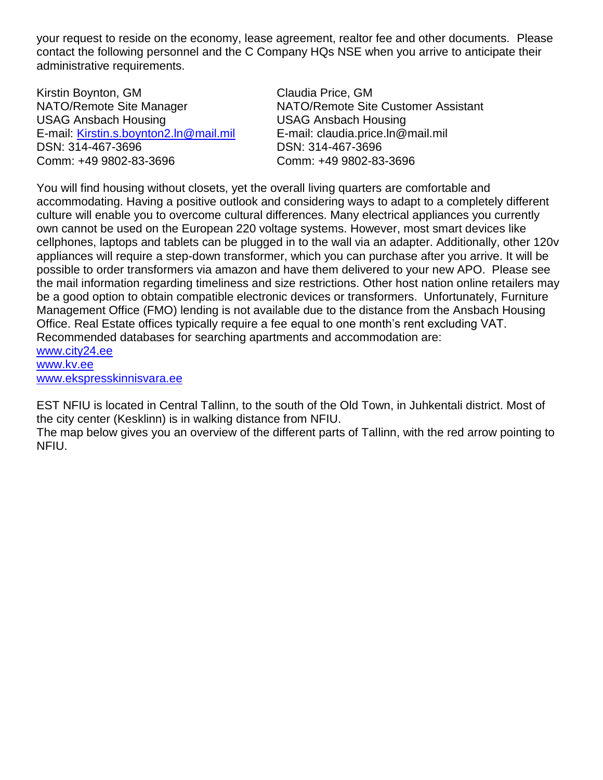your request to reside on the economy, lease agreement, realtor fee and other documents. Please contact the following personnel and the C Company HQs NSE when you arrive to anticipate their administrative requirements.

Kirstin Boynton, GM Claudia Price, GM USAG Ansbach Housing USAG Ansbach Housing E-mail: [Kirstin.s.boynton2.ln@mail.mil](mailto:Kirstin.s.boynton2.ln@mail.mil) E-mail: claudia.price.ln@mail.mil DSN: 314-467-3696 DSN: 314-467-3696 Comm: +49 9802-83-3696 Comm: +49 9802-83-3696

NATO/Remote Site Manager NATO/Remote Site Customer Assistant

You will find housing without closets, yet the overall living quarters are comfortable and accommodating. Having a positive outlook and considering ways to adapt to a completely different culture will enable you to overcome cultural differences. Many electrical appliances you currently own cannot be used on the European 220 voltage systems. However, most smart devices like cellphones, laptops and tablets can be plugged in to the wall via an adapter. Additionally, other 120v appliances will require a step-down transformer, which you can purchase after you arrive. It will be possible to order transformers via amazon and have them delivered to your new APO. Please see the mail information regarding timeliness and size restrictions. Other host nation online retailers may be a good option to obtain compatible electronic devices or transformers. Unfortunately, Furniture Management Office (FMO) lending is not available due to the distance from the Ansbach Housing Office. Real Estate offices typically require a fee equal to one month's rent excluding VAT. Recommended databases for searching apartments and accommodation are: [www.city24.ee](http://www.city24.ee/) [www.kv.ee](http://www.kv.ee/)

[www.ekspresskinnisvara.ee](http://www.ekspresskinnisvara.ee/)

EST NFIU is located in Central Tallinn, to the south of the Old Town, in Juhkentali district. Most of the city center (Kesklinn) is in walking distance from NFIU.

The map below gives you an overview of the different parts of Tallinn, with the red arrow pointing to NFIU.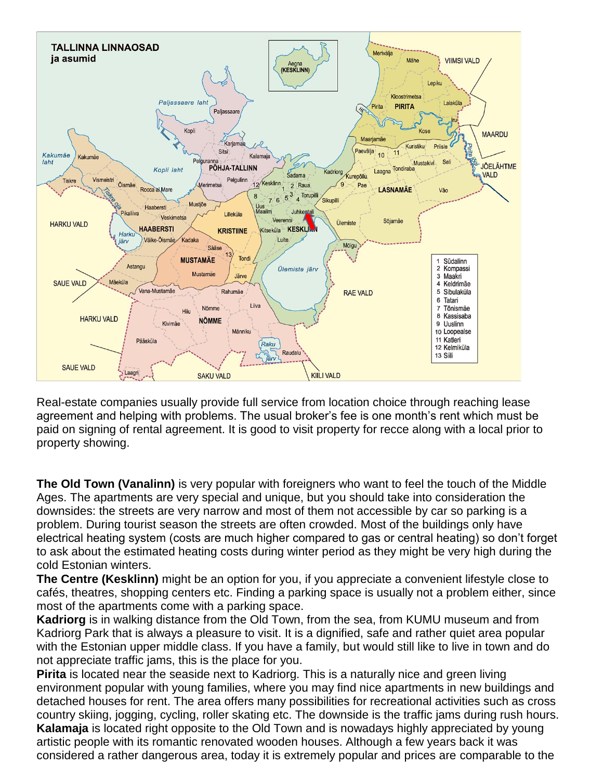

Real-estate companies usually provide full service from location choice through reaching lease agreement and helping with problems. The usual broker's fee is one month's rent which must be paid on signing of rental agreement. It is good to visit property for recce along with a local prior to property showing.

**The Old Town (Vanalinn)** is very popular with foreigners who want to feel the touch of the Middle Ages. The apartments are very special and unique, but you should take into consideration the downsides: the streets are very narrow and most of them not accessible by car so parking is a problem. During tourist season the streets are often crowded. Most of the buildings only have electrical heating system (costs are much higher compared to gas or central heating) so don't forget to ask about the estimated heating costs during winter period as they might be very high during the cold Estonian winters.

**The Centre (Kesklinn)** might be an option for you, if you appreciate a convenient lifestyle close to cafés, theatres, shopping centers etc. Finding a parking space is usually not a problem either, since most of the apartments come with a parking space.

**Kadriorg** is in walking distance from the Old Town, from the sea, from KUMU museum and from Kadriorg Park that is always a pleasure to visit. It is a dignified, safe and rather quiet area popular with the Estonian upper middle class. If you have a family, but would still like to live in town and do not appreciate traffic jams, this is the place for you.

**Pirita** is located near the seaside next to Kadriorg. This is a naturally nice and green living environment popular with young families, where you may find nice apartments in new buildings and detached houses for rent. The area offers many possibilities for recreational activities such as cross country skiing, jogging, cycling, roller skating etc. The downside is the traffic jams during rush hours. **Kalamaja** is located right opposite to the Old Town and is nowadays highly appreciated by young artistic people with its romantic renovated wooden houses. Although a few years back it was considered a rather dangerous area, today it is extremely popular and prices are comparable to the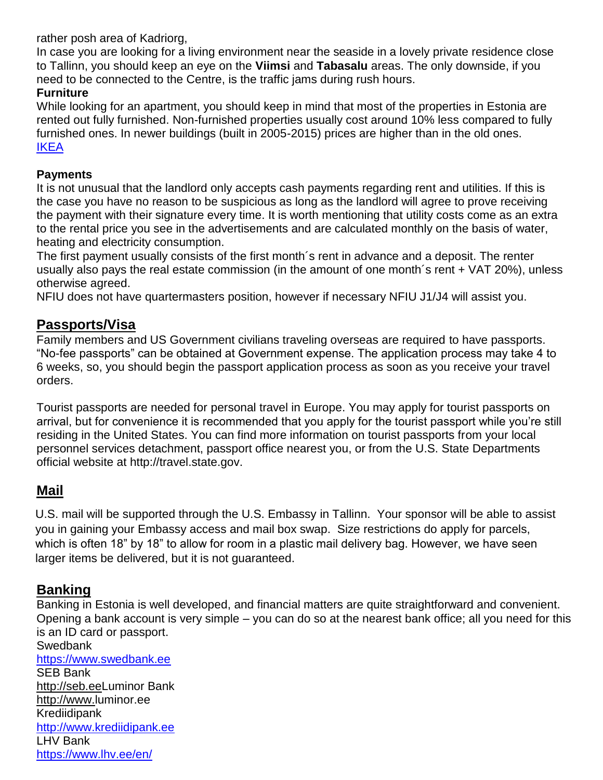rather posh area of Kadriorg,

In case you are looking for a living environment near the seaside in a lovely private residence close to Tallinn, you should keep an eye on the **Viimsi** and **Tabasalu** areas. The only downside, if you need to be connected to the Centre, is the traffic jams during rush hours.

#### **Furniture**

While looking for an apartment, you should keep in mind that most of the properties in Estonia are rented out fully furnished. Non-furnished properties usually cost around 10% less compared to fully furnished ones. In newer buildings (built in 2005-2015) prices are higher than in the old ones. [IKEA](https://www.ikea.ee/en/contacts)

#### **Payments**

It is not unusual that the landlord only accepts cash payments regarding rent and utilities. If this is the case you have no reason to be suspicious as long as the landlord will agree to prove receiving the payment with their signature every time. It is worth mentioning that utility costs come as an extra to the rental price you see in the advertisements and are calculated monthly on the basis of water, heating and electricity consumption.

The first payment usually consists of the first month´s rent in advance and a deposit. The renter usually also pays the real estate commission (in the amount of one month´s rent + VAT 20%), unless otherwise agreed.

NFIU does not have quartermasters position, however if necessary NFIU J1/J4 will assist you.

### **Passports/Visa**

Family members and US Government civilians traveling overseas are required to have passports. "No-fee passports" can be obtained at Government expense. The application process may take 4 to 6 weeks, so, you should begin the passport application process as soon as you receive your travel orders.

Tourist passports are needed for personal travel in Europe. You may apply for tourist passports on arrival, but for convenience it is recommended that you apply for the tourist passport while you're still residing in the United States. You can find more information on tourist passports from your local personnel services detachment, passport office nearest you, or from the U.S. State Departments official website at [http://travel.state.gov.](http://travel.state.gov/)

#### **Mail**

U.S. mail will be supported through the U.S. Embassy in Tallinn. Your sponsor will be able to assist you in gaining your Embassy access and mail box swap. Size restrictions do apply for parcels, which is often 18" by 18" to allow for room in a plastic mail delivery bag. However, we have seen larger items be delivered, but it is not guaranteed.

## **Banking**

Banking in Estonia is well developed, and financial matters are quite straightforward and convenient. Opening a bank account is very simple – you can do so at the nearest bank office; all you need for this is an ID card or passport.

**Swedbank** [https://www.swedbank.ee](https://www.swedbank.ee/) SEB Bank http://seb.eeLuminor Bank http://www.luminor.ee Krediidipank [http://www.krediidipank.ee](http://www.krediidipank.ee/)  LHV Bank <https://www.lhv.ee/en/>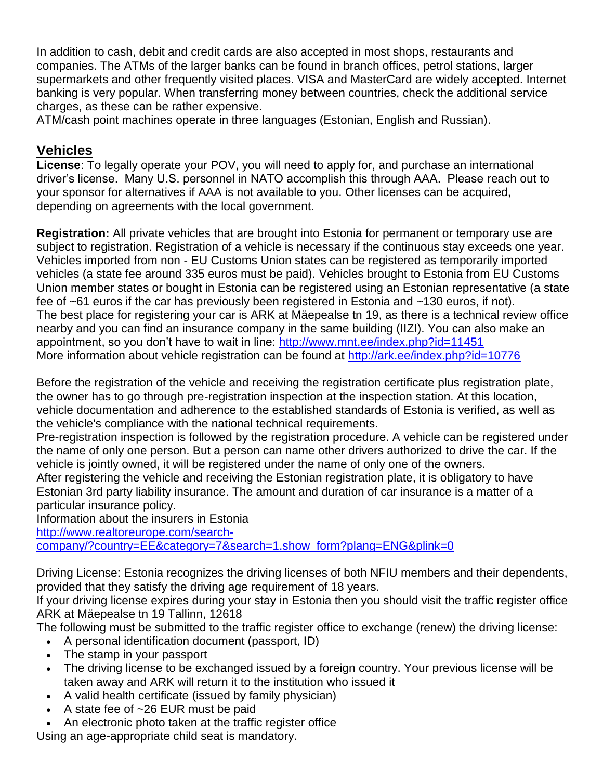In addition to cash, debit and credit cards are also accepted in most shops, restaurants and companies. The ATMs of the larger banks can be found in branch offices, petrol stations, larger supermarkets and other frequently visited places. VISA and MasterCard are widely accepted. Internet banking is very popular. When transferring money between countries, check the additional service charges, as these can be rather expensive.

ATM/cash point machines operate in three languages (Estonian, English and Russian).

## **Vehicles**

**License**: To legally operate your POV, you will need to apply for, and purchase an international driver's license. Many U.S. personnel in NATO accomplish this through AAA. Please reach out to your sponsor for alternatives if AAA is not available to you. Other licenses can be acquired, depending on agreements with the local government.

**Registration:** All private vehicles that are brought into Estonia for permanent or temporary use are subject to registration. Registration of a vehicle is necessary if the continuous stay exceeds one year. Vehicles imported from non - EU Customs Union states can be registered as temporarily imported vehicles (a state fee around 335 euros must be paid). Vehicles brought to Estonia from EU Customs Union member states or bought in Estonia can be registered using an Estonian representative (a state fee of ~61 euros if the car has previously been registered in Estonia and ~130 euros, if not). The best place for registering your car is ARK at Mäepealse tn 19, as there is a technical review office nearby and you can find an insurance company in the same building (IIZI). You can also make an appointment, so you don't have to wait in line:<http://www.mnt.ee/index.php?id=11451> More information about vehicle registration can be found at<http://ark.ee/index.php?id=10776>

Before the registration of the vehicle and receiving the registration certificate plus registration plate, the owner has to go through pre-registration inspection at the inspection station. At this location, vehicle documentation and adherence to the established standards of Estonia is verified, as well as the vehicle's compliance with the national technical requirements.

Pre-registration inspection is followed by the registration procedure. A vehicle can be registered under the name of only one person. But a person can name other drivers authorized to drive the car. If the vehicle is jointly owned, it will be registered under the name of only one of the owners.

After registering the vehicle and receiving the Estonian registration plate, it is obligatory to have Estonian 3rd party liability insurance. The amount and duration of car insurance is a matter of a particular insurance policy.

Information about the insurers in Estonia

[http://www.realtoreurope.com/search-](http://www.realtoreurope.com/search-company/?country=EE&category=7&search=1.show_form?plang=ENG&plink=0)

[company/?country=EE&category=7&search=1.show\\_form?plang=ENG&plink=0](http://www.realtoreurope.com/search-company/?country=EE&category=7&search=1.show_form?plang=ENG&plink=0)

Driving License: Estonia recognizes the driving licenses of both NFIU members and their dependents, provided that they satisfy the driving age requirement of 18 years.

If your driving license expires during your stay in Estonia then you should visit the traffic register office ARK at Mäepealse tn 19 Tallinn, 12618

The following must be submitted to the traffic register office to exchange (renew) the driving license:

- A personal identification document (passport, ID)
- The stamp in your passport
- The driving license to be exchanged issued by a foreign country. Your previous license will be taken away and ARK will return it to the institution who issued it
- A valid health certificate (issued by family physician)
- $\bullet$  A state fee of  $\sim$ 26 EUR must be paid
- An electronic photo taken at the traffic register office

Using an age-appropriate child seat is mandatory.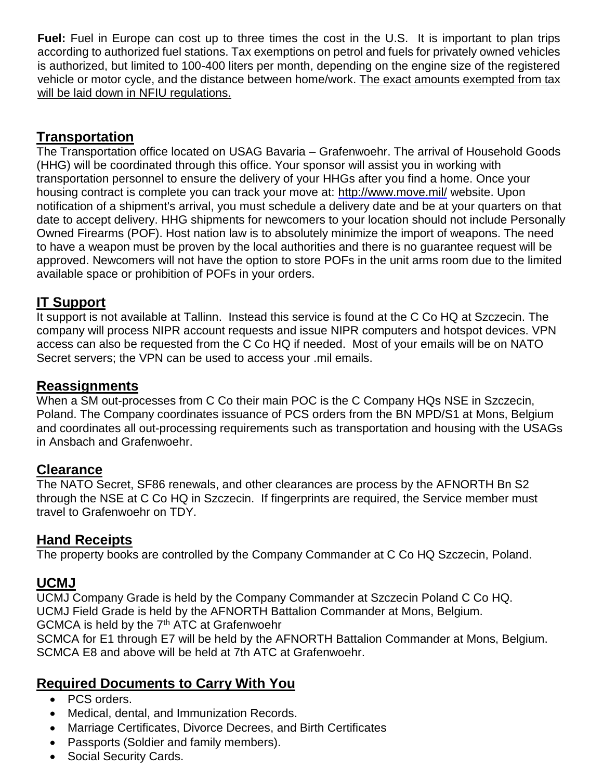**Fuel:** Fuel in Europe can cost up to three times the cost in the U.S. It is important to plan trips according to authorized fuel stations. Tax exemptions on petrol and fuels for privately owned vehicles is authorized, but limited to 100-400 liters per month, depending on the engine size of the registered vehicle or motor cycle, and the distance between home/work. The exact amounts exempted from tax will be laid down in NFIU regulations.

## **Transportation**

The Transportation office located on USAG Bavaria – Grafenwoehr. The arrival of Household Goods (HHG) will be coordinated through this office. Your sponsor will assist you in working with transportation personnel to ensure the delivery of your HHGs after you find a home. Once your housing contract is complete you can track your move at:<http://www.move.mil/> website. Upon notification of a shipment's arrival, you must schedule a delivery date and be at your quarters on that date to accept delivery. HHG shipments for newcomers to your location should not include Personally Owned Firearms (POF). Host nation law is to absolutely minimize the import of weapons. The need to have a weapon must be proven by the local authorities and there is no guarantee request will be approved. Newcomers will not have the option to store POFs in the unit arms room due to the limited available space or prohibition of POFs in your orders.

## **IT Support**

It support is not available at Tallinn. Instead this service is found at the C Co HQ at Szczecin. The company will process NIPR account requests and issue NIPR computers and hotspot devices. VPN access can also be requested from the C Co HQ if needed. Most of your emails will be on NATO Secret servers; the VPN can be used to access your .mil emails.

## **Reassignments**

When a SM out-processes from C Co their main POC is the C Company HQs NSE in Szczecin, Poland. The Company coordinates issuance of PCS orders from the BN MPD/S1 at Mons, Belgium and coordinates all out-processing requirements such as transportation and housing with the USAGs in Ansbach and Grafenwoehr.

## **Clearance**

The NATO Secret, SF86 renewals, and other clearances are process by the AFNORTH Bn S2 through the NSE at C Co HQ in Szczecin. If fingerprints are required, the Service member must travel to Grafenwoehr on TDY.

## **Hand Receipts**

The property books are controlled by the Company Commander at C Co HQ Szczecin, Poland.

#### **UCMJ**

UCMJ Company Grade is held by the Company Commander at Szczecin Poland C Co HQ. UCMJ Field Grade is held by the AFNORTH Battalion Commander at Mons, Belgium. GCMCA is held by the 7<sup>th</sup> ATC at Grafenwoehr SCMCA for E1 through E7 will be held by the AFNORTH Battalion Commander at Mons, Belgium. SCMCA E8 and above will be held at 7th ATC at Grafenwoehr.

## **Required Documents to Carry With You**

- PCS orders.
- Medical, dental, and Immunization Records.
- Marriage Certificates, Divorce Decrees, and Birth Certificates
- Passports (Soldier and family members).
- Social Security Cards.